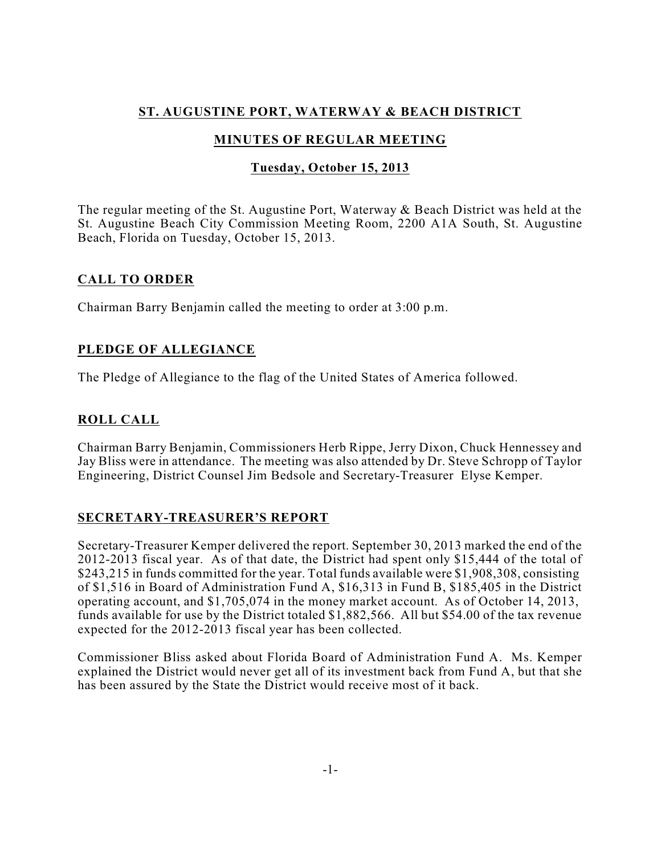# **ST. AUGUSTINE PORT, WATERWAY & BEACH DISTRICT**

# **MINUTES OF REGULAR MEETING**

## **Tuesday, October 15, 2013**

The regular meeting of the St. Augustine Port, Waterway & Beach District was held at the St. Augustine Beach City Commission Meeting Room, 2200 A1A South, St. Augustine Beach, Florida on Tuesday, October 15, 2013.

### **CALL TO ORDER**

Chairman Barry Benjamin called the meeting to order at 3:00 p.m.

# **PLEDGE OF ALLEGIANCE**

The Pledge of Allegiance to the flag of the United States of America followed.

# **ROLL CALL**

Chairman Barry Benjamin, Commissioners Herb Rippe, Jerry Dixon, Chuck Hennessey and Jay Bliss were in attendance. The meeting was also attended by Dr. Steve Schropp of Taylor Engineering, District Counsel Jim Bedsole and Secretary-Treasurer Elyse Kemper.

### **SECRETARY-TREASURER'S REPORT**

Secretary-Treasurer Kemper delivered the report. September 30, 2013 marked the end of the 2012-2013 fiscal year. As of that date, the District had spent only \$15,444 of the total of \$243,215 in funds committed for the year. Total funds available were \$1,908,308, consisting of \$1,516 in Board of Administration Fund A, \$16,313 in Fund B, \$185,405 in the District operating account, and \$1,705,074 in the money market account. As of October 14, 2013, funds available for use by the District totaled \$1,882,566. All but \$54.00 of the tax revenue expected for the 2012-2013 fiscal year has been collected.

Commissioner Bliss asked about Florida Board of Administration Fund A. Ms. Kemper explained the District would never get all of its investment back from Fund A, but that she has been assured by the State the District would receive most of it back.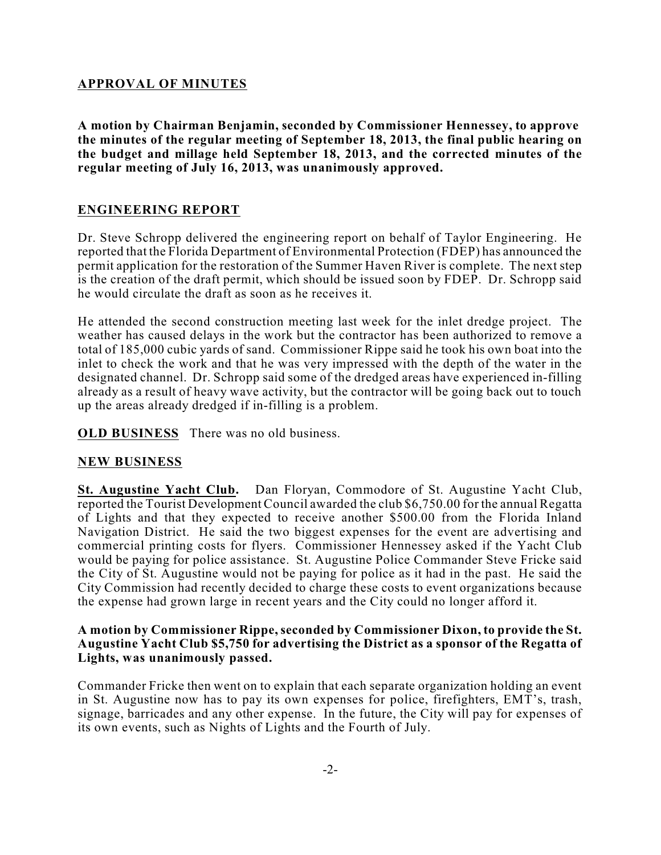### **APPROVAL OF MINUTES**

**A motion by Chairman Benjamin, seconded by Commissioner Hennessey, to approve the minutes of the regular meeting of September 18, 2013, the final public hearing on the budget and millage held September 18, 2013, and the corrected minutes of the regular meeting of July 16, 2013, was unanimously approved.**

### **ENGINEERING REPORT**

Dr. Steve Schropp delivered the engineering report on behalf of Taylor Engineering. He reported that the Florida Department of Environmental Protection (FDEP) has announced the permit application for the restoration of the Summer Haven River is complete. The next step is the creation of the draft permit, which should be issued soon by FDEP. Dr. Schropp said he would circulate the draft as soon as he receives it.

He attended the second construction meeting last week for the inlet dredge project. The weather has caused delays in the work but the contractor has been authorized to remove a total of 185,000 cubic yards of sand. Commissioner Rippe said he took his own boat into the inlet to check the work and that he was very impressed with the depth of the water in the designated channel. Dr. Schropp said some of the dredged areas have experienced in-filling already as a result of heavy wave activity, but the contractor will be going back out to touch up the areas already dredged if in-filling is a problem.

**OLD BUSINESS** There was no old business.

#### **NEW BUSINESS**

**St. Augustine Yacht Club.** Dan Floryan, Commodore of St. Augustine Yacht Club, reported the Tourist Development Council awarded the club \$6,750.00 for the annual Regatta of Lights and that they expected to receive another \$500.00 from the Florida Inland Navigation District. He said the two biggest expenses for the event are advertising and commercial printing costs for flyers. Commissioner Hennessey asked if the Yacht Club would be paying for police assistance. St. Augustine Police Commander Steve Fricke said the City of St. Augustine would not be paying for police as it had in the past. He said the City Commission had recently decided to charge these costs to event organizations because the expense had grown large in recent years and the City could no longer afford it.

#### **A motion by Commissioner Rippe,seconded by Commissioner Dixon, to provide the St. Augustine Yacht Club \$5,750 for advertising the District as a sponsor of the Regatta of Lights, was unanimously passed.**

Commander Fricke then went on to explain that each separate organization holding an event in St. Augustine now has to pay its own expenses for police, firefighters, EMT's, trash, signage, barricades and any other expense. In the future, the City will pay for expenses of its own events, such as Nights of Lights and the Fourth of July.